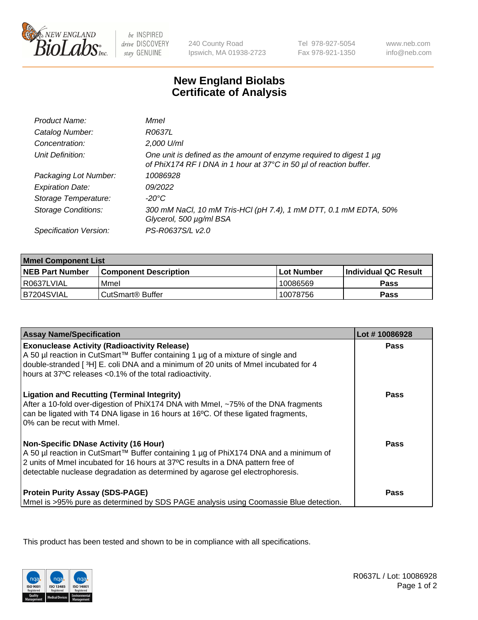

be INSPIRED drive DISCOVERY stay GENUINE

240 County Road Ipswich, MA 01938-2723 Tel 978-927-5054 Fax 978-921-1350

www.neb.com info@neb.com

## **New England Biolabs Certificate of Analysis**

| Product Name:              | Mmel                                                                                                                                           |
|----------------------------|------------------------------------------------------------------------------------------------------------------------------------------------|
| Catalog Number:            | R0637L                                                                                                                                         |
| Concentration:             | 2,000 U/ml                                                                                                                                     |
| Unit Definition:           | One unit is defined as the amount of enzyme required to digest 1 $\mu$ g<br>of PhiX174 RF I DNA in 1 hour at 37°C in 50 µl of reaction buffer. |
| Packaging Lot Number:      | 10086928                                                                                                                                       |
| <b>Expiration Date:</b>    | 09/2022                                                                                                                                        |
| Storage Temperature:       | $-20^{\circ}$ C                                                                                                                                |
| <b>Storage Conditions:</b> | 300 mM NaCl, 10 mM Tris-HCl (pH 7.4), 1 mM DTT, 0.1 mM EDTA, 50%<br>Glycerol, 500 µg/ml BSA                                                    |
| Specification Version:     | PS-R0637S/L v2.0                                                                                                                               |

| <b>Mmel Component List</b> |                              |            |                             |  |  |
|----------------------------|------------------------------|------------|-----------------------------|--|--|
| <b>NEB Part Number</b>     | <b>Component Description</b> | Lot Number | <b>Individual QC Result</b> |  |  |
| I R0637LVIAL               | Mmel                         | 10086569   | Pass                        |  |  |
| B7204SVIAL                 | CutSmart <sup>®</sup> Buffer | 10078756   | Pass                        |  |  |

| <b>Assay Name/Specification</b>                                                                                                                                                                                                                                                                          | Lot #10086928 |
|----------------------------------------------------------------------------------------------------------------------------------------------------------------------------------------------------------------------------------------------------------------------------------------------------------|---------------|
| <b>Exonuclease Activity (Radioactivity Release)</b><br>A 50 µl reaction in CutSmart™ Buffer containing 1 µg of a mixture of single and<br>double-stranded [3H] E. coli DNA and a minimum of 20 units of Mmel incubated for 4<br>hours at 37°C releases <0.1% of the total radioactivity.                 | <b>Pass</b>   |
| <b>Ligation and Recutting (Terminal Integrity)</b><br>After a 10-fold over-digestion of PhiX174 DNA with Mmel, ~75% of the DNA fragments<br>can be ligated with T4 DNA ligase in 16 hours at 16°C. Of these ligated fragments,<br>0% can be recut with Mmel.                                             | Pass          |
| <b>Non-Specific DNase Activity (16 Hour)</b><br>A 50 µl reaction in CutSmart™ Buffer containing 1 µg of PhiX174 DNA and a minimum of<br>2 units of Mmel incubated for 16 hours at 37°C results in a DNA pattern free of<br>detectable nuclease degradation as determined by agarose gel electrophoresis. | Pass          |
| <b>Protein Purity Assay (SDS-PAGE)</b><br>Mmel is >95% pure as determined by SDS PAGE analysis using Coomassie Blue detection.                                                                                                                                                                           | Pass          |

This product has been tested and shown to be in compliance with all specifications.